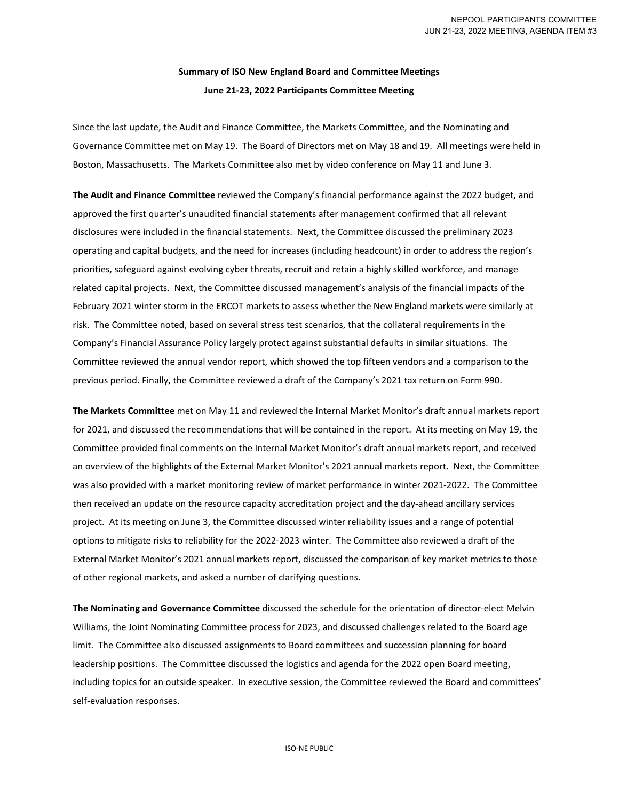## **Summary of ISO New England Board and Committee Meetings June 21-23, 2022 Participants Committee Meeting**

Since the last update, the Audit and Finance Committee, the Markets Committee, and the Nominating and Governance Committee met on May 19. The Board of Directors met on May 18 and 19. All meetings were held in Boston, Massachusetts. The Markets Committee also met by video conference on May 11 and June 3.

**The Audit and Finance Committee** reviewed the Company's financial performance against the 2022 budget, and approved the first quarter's unaudited financial statements after management confirmed that all relevant disclosures were included in the financial statements. Next, the Committee discussed the preliminary 2023 operating and capital budgets, and the need for increases (including headcount) in order to address the region's priorities, safeguard against evolving cyber threats, recruit and retain a highly skilled workforce, and manage related capital projects. Next, the Committee discussed management's analysis of the financial impacts of the February 2021 winter storm in the ERCOT markets to assess whether the New England markets were similarly at risk. The Committee noted, based on several stress test scenarios, that the collateral requirements in the Company's Financial Assurance Policy largely protect against substantial defaults in similar situations. The Committee reviewed the annual vendor report, which showed the top fifteen vendors and a comparison to the previous period. Finally, the Committee reviewed a draft of the Company's 2021 tax return on Form 990.

**The Markets Committee** met on May 11 and reviewed the Internal Market Monitor's draft annual markets report for 2021, and discussed the recommendations that will be contained in the report. At its meeting on May 19, the Committee provided final comments on the Internal Market Monitor's draft annual markets report, and received an overview of the highlights of the External Market Monitor's 2021 annual markets report. Next, the Committee was also provided with a market monitoring review of market performance in winter 2021-2022. The Committee then received an update on the resource capacity accreditation project and the day-ahead ancillary services project. At its meeting on June 3, the Committee discussed winter reliability issues and a range of potential options to mitigate risks to reliability for the 2022-2023 winter. The Committee also reviewed a draft of the External Market Monitor's 2021 annual markets report, discussed the comparison of key market metrics to those of other regional markets, and asked a number of clarifying questions.

**The Nominating and Governance Committee** discussed the schedule for the orientation of director-elect Melvin Williams, the Joint Nominating Committee process for 2023, and discussed challenges related to the Board age limit. The Committee also discussed assignments to Board committees and succession planning for board leadership positions. The Committee discussed the logistics and agenda for the 2022 open Board meeting, including topics for an outside speaker. In executive session, the Committee reviewed the Board and committees' self-evaluation responses.